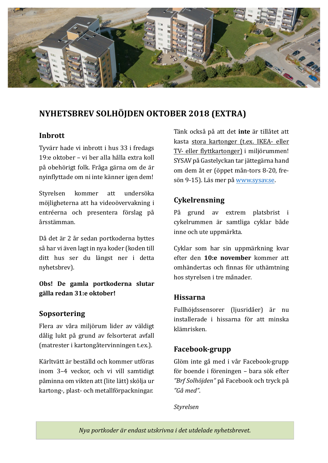

## **NYHETSBREV SOLHÖJDEN OKTOBER 2018 (EXTRA)**

### **Inbrott**

Tyvärr hade vi inbrott i hus 33 i fredags 19:e oktober – vi ber alla hålla extra koll på obehörigt folk. Fråga gärna om de är nyinflyttade om ni inte känner igen dem!

Styrelsen kommer att undersöka möjligheterna att ha videoövervakning i entréerna och presentera förslag på å rsstämman.

Då det är 2 år sedan portkoderna byttes så har vi även lagt in nya koder (koden till ditt hus ser du längst ner i detta nyhetsbrev).

**Obs! De gamla portkoderna slutar gälla redan 31:e oktober!**

### **Sopsortering**

Flera av våra miljörum lider av väldigt dålig lukt på grund av felsorterat avfall (matrester i kartongå tervinningen t.ex.).

Kärltvätt är beställd och kommer utföras inom 3-4 veckor, och vi vill samtidigt påminna om vikten att (lite lätt) skölja ur kartong-, plast- och metallförpackningar.

Tänk också på att det **inte** är tillå tet att kasta stora kartonger (t.ex. IKEA- eller TV- eller flyttkartonger) i miljörummen! SYSAV på Gastelyckan tar jättegärna hand om dem åt er (öppet mån-tors 8-20, fresön 9-15). Läs mer på www.sysav.se.

## **Cykelrensning**

På grund av extrem platsbrist i cykelrummen är samtliga cyklar både inne och ute uppmärkta.

Cyklar som har sin uppmärkning kvar efter den **10:e november** kommer att omhändertas och finnas för uthämtning hos styrelsen i tre månader.

### **Hissarna**

Fullhöjdssensorer (ljusridåer) är nu installerade i hissarna för att minska klämrisken.

## **Facebook-grupp**

Glöm inte gå med i vår Facebook-grupp för boende i föreningen – bara sök efter *"Brf Solhöjden"* på Facebook och tryck på *"Gå med"*.

*Styrelsen*

*Nya portkoder är endast utskrivna i det utdelade nyhetsbrevet.*